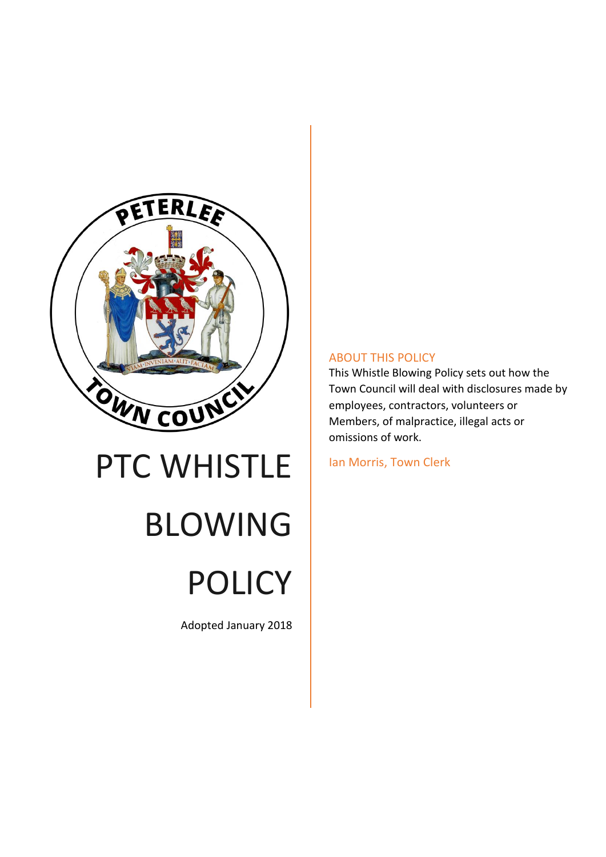

# PTC WHISTLE BLOWING POLICY

Adopted January 2018

## ABOUT THIS POLICY

This Whistle Blowing Policy sets out how the Town Council will deal with disclosures made by employees, contractors, volunteers or Members, of malpractice, illegal acts or omissions of work.

Ian Morris, Town Clerk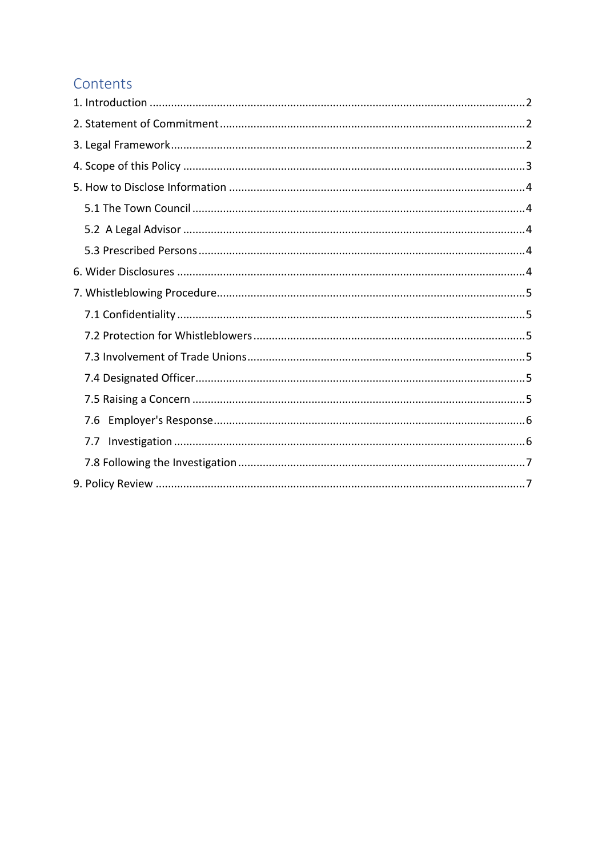# Contents

| 7.6 |
|-----|
| 7.7 |
|     |
|     |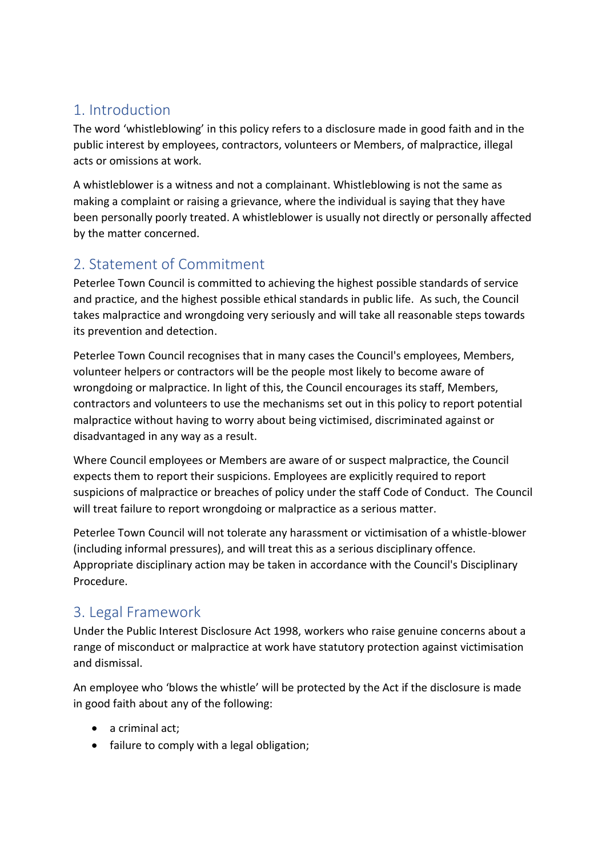# <span id="page-2-0"></span>1. Introduction

The word 'whistleblowing' in this policy refers to a disclosure made in good faith and in the public interest by employees, contractors, volunteers or Members, of malpractice, illegal acts or omissions at work.

A whistleblower is a witness and not a complainant. Whistleblowing is not the same as making a complaint or raising a grievance, where the individual is saying that they have been personally poorly treated. A whistleblower is usually not directly or personally affected by the matter concerned.

# <span id="page-2-1"></span>2. Statement of Commitment

Peterlee Town Council is committed to achieving the highest possible standards of service and practice, and the highest possible ethical standards in public life. As such, the Council takes malpractice and wrongdoing very seriously and will take all reasonable steps towards its prevention and detection.

Peterlee Town Council recognises that in many cases the Council's employees, Members, volunteer helpers or contractors will be the people most likely to become aware of wrongdoing or malpractice. In light of this, the Council encourages its staff, Members, contractors and volunteers to use the mechanisms set out in this policy to report potential malpractice without having to worry about being victimised, discriminated against or disadvantaged in any way as a result.

Where Council employees or Members are aware of or suspect malpractice, the Council expects them to report their suspicions. Employees are explicitly required to report suspicions of malpractice or breaches of policy under the staff Code of Conduct. The Council will treat failure to report wrongdoing or malpractice as a serious matter.

Peterlee Town Council will not tolerate any harassment or victimisation of a whistle-blower (including informal pressures), and will treat this as a serious disciplinary offence. Appropriate disciplinary action may be taken in accordance with the Council's Disciplinary Procedure.

## <span id="page-2-2"></span>3. Legal Framework

Under the Public Interest Disclosure Act 1998, workers who raise genuine concerns about a range of misconduct or malpractice at work have statutory protection against victimisation and dismissal.

An employee who 'blows the whistle' will be protected by the Act if the disclosure is made in good faith about any of the following:

- a criminal act;
- failure to comply with a legal obligation;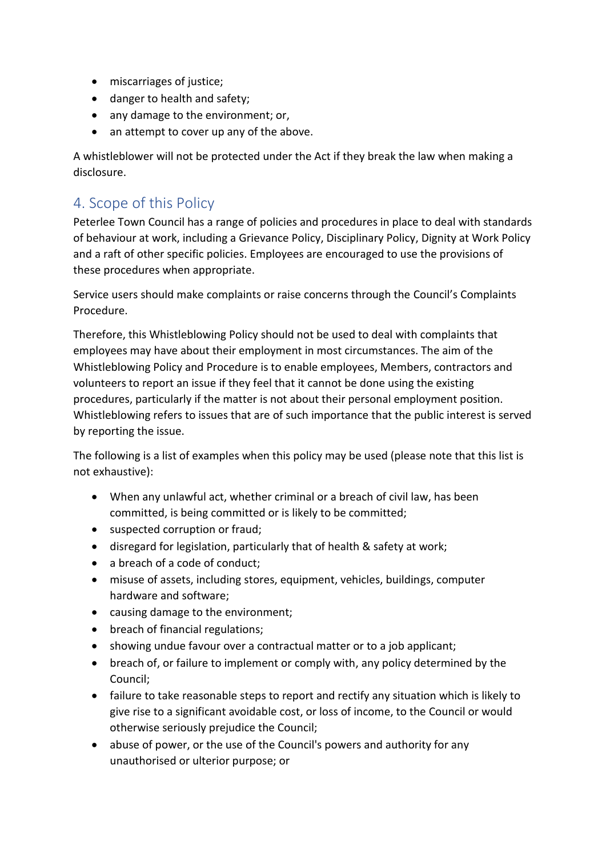- miscarriages of justice;
- danger to health and safety;
- any damage to the environment; or,
- an attempt to cover up any of the above.

A whistleblower will not be protected under the Act if they break the law when making a disclosure.

# <span id="page-3-0"></span>4. Scope of this Policy

Peterlee Town Council has a range of policies and procedures in place to deal with standards of behaviour at work, including a Grievance Policy, Disciplinary Policy, Dignity at Work Policy and a raft of other specific policies. Employees are encouraged to use the provisions of these procedures when appropriate.

Service users should make complaints or raise concerns through the Council's Complaints Procedure.

Therefore, this Whistleblowing Policy should not be used to deal with complaints that employees may have about their employment in most circumstances. The aim of the Whistleblowing Policy and Procedure is to enable employees, Members, contractors and volunteers to report an issue if they feel that it cannot be done using the existing procedures, particularly if the matter is not about their personal employment position. Whistleblowing refers to issues that are of such importance that the public interest is served by reporting the issue.

The following is a list of examples when this policy may be used (please note that this list is not exhaustive):

- When any unlawful act, whether criminal or a breach of civil law, has been committed, is being committed or is likely to be committed;
- suspected corruption or fraud;
- disregard for legislation, particularly that of health & safety at work;
- a breach of a code of conduct;
- misuse of assets, including stores, equipment, vehicles, buildings, computer hardware and software;
- causing damage to the environment;
- breach of financial regulations;
- showing undue favour over a contractual matter or to a job applicant;
- breach of, or failure to implement or comply with, any policy determined by the Council;
- failure to take reasonable steps to report and rectify any situation which is likely to give rise to a significant avoidable cost, or loss of income, to the Council or would otherwise seriously prejudice the Council;
- abuse of power, or the use of the Council's powers and authority for any unauthorised or ulterior purpose; or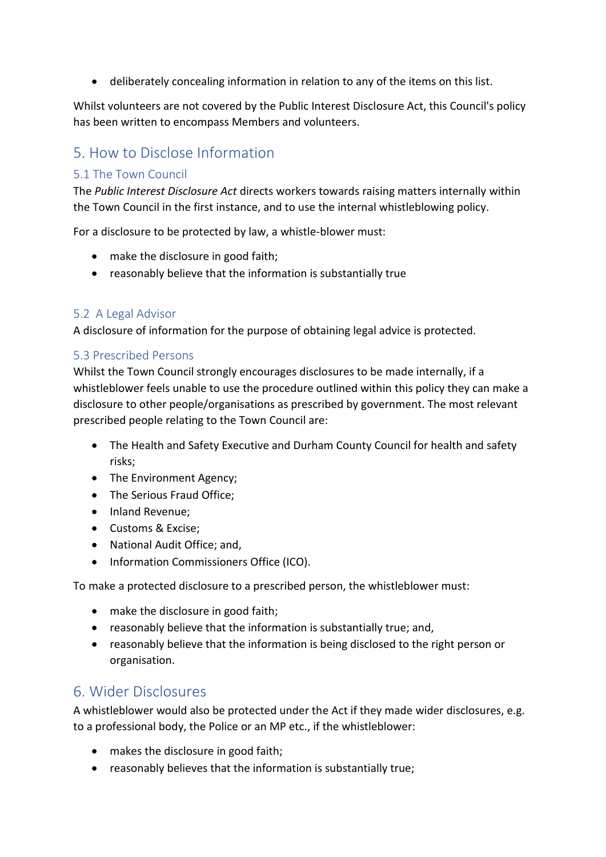• deliberately concealing information in relation to any of the items on this list.

Whilst volunteers are not covered by the Public Interest Disclosure Act, this Council's policy has been written to encompass Members and volunteers.

# <span id="page-4-0"></span>5. How to Disclose Information

## <span id="page-4-1"></span>5.1 The Town Council

The *Public Interest Disclosure Act* directs workers towards raising matters internally within the Town Council in the first instance, and to use the internal whistleblowing policy.

For a disclosure to be protected by law, a whistle-blower must:

- make the disclosure in good faith;
- reasonably believe that the information is substantially true

### <span id="page-4-2"></span>5.2 A Legal Advisor

A disclosure of information for the purpose of obtaining legal advice is protected.

### <span id="page-4-3"></span>5.3 Prescribed Persons

Whilst the Town Council strongly encourages disclosures to be made internally, if a whistleblower feels unable to use the procedure outlined within this policy they can make a disclosure to other people/organisations as prescribed by government. The most relevant prescribed people relating to the Town Council are:

- The Health and Safety Executive and Durham County Council for health and safety risks;
- The Environment Agency;
- The Serious Fraud Office;
- Inland Revenue:
- Customs & Excise;
- National Audit Office: and.
- Information Commissioners Office (ICO).

To make a protected disclosure to a prescribed person, the whistleblower must:

- make the disclosure in good faith;
- reasonably believe that the information is substantially true; and,
- reasonably believe that the information is being disclosed to the right person or organisation.

## <span id="page-4-4"></span>6. Wider Disclosures

A whistleblower would also be protected under the Act if they made wider disclosures, e.g. to a professional body, the Police or an MP etc., if the whistleblower:

- makes the disclosure in good faith;
- reasonably believes that the information is substantially true;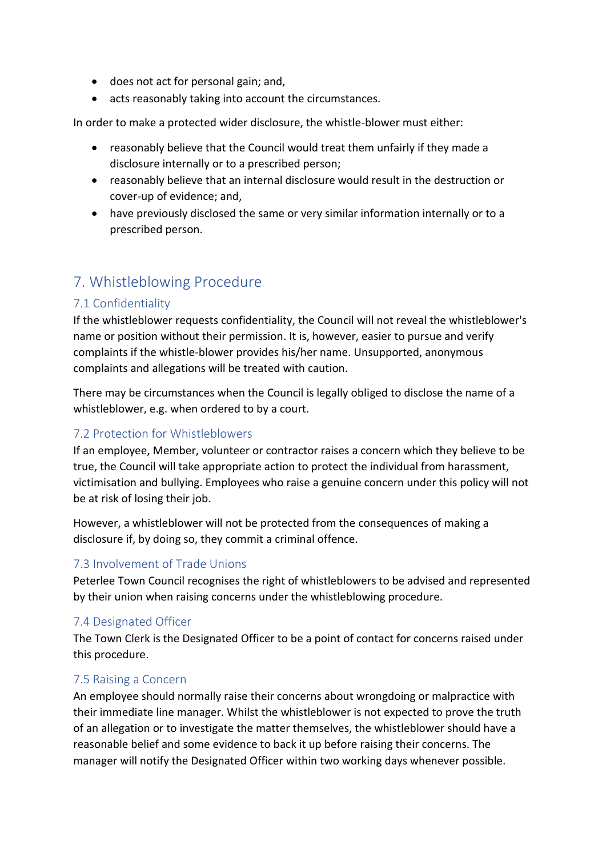- does not act for personal gain; and,
- acts reasonably taking into account the circumstances.

In order to make a protected wider disclosure, the whistle-blower must either:

- reasonably believe that the Council would treat them unfairly if they made a disclosure internally or to a prescribed person;
- reasonably believe that an internal disclosure would result in the destruction or cover-up of evidence; and,
- have previously disclosed the same or very similar information internally or to a prescribed person.

## <span id="page-5-0"></span>7. Whistleblowing Procedure

## <span id="page-5-1"></span>7.1 Confidentiality

If the whistleblower requests confidentiality, the Council will not reveal the whistleblower's name or position without their permission. It is, however, easier to pursue and verify complaints if the whistle-blower provides his/her name. Unsupported, anonymous complaints and allegations will be treated with caution.

There may be circumstances when the Council is legally obliged to disclose the name of a whistleblower, e.g. when ordered to by a court.

## <span id="page-5-2"></span>7.2 Protection for Whistleblowers

If an employee, Member, volunteer or contractor raises a concern which they believe to be true, the Council will take appropriate action to protect the individual from harassment, victimisation and bullying. Employees who raise a genuine concern under this policy will not be at risk of losing their job.

However, a whistleblower will not be protected from the consequences of making a disclosure if, by doing so, they commit a criminal offence.

## <span id="page-5-3"></span>7.3 Involvement of Trade Unions

Peterlee Town Council recognises the right of whistleblowers to be advised and represented by their union when raising concerns under the whistleblowing procedure.

### <span id="page-5-4"></span>7.4 Designated Officer

The Town Clerk is the Designated Officer to be a point of contact for concerns raised under this procedure.

### <span id="page-5-5"></span>7.5 Raising a Concern

An employee should normally raise their concerns about wrongdoing or malpractice with their immediate line manager. Whilst the whistleblower is not expected to prove the truth of an allegation or to investigate the matter themselves, the whistleblower should have a reasonable belief and some evidence to back it up before raising their concerns. The manager will notify the Designated Officer within two working days whenever possible.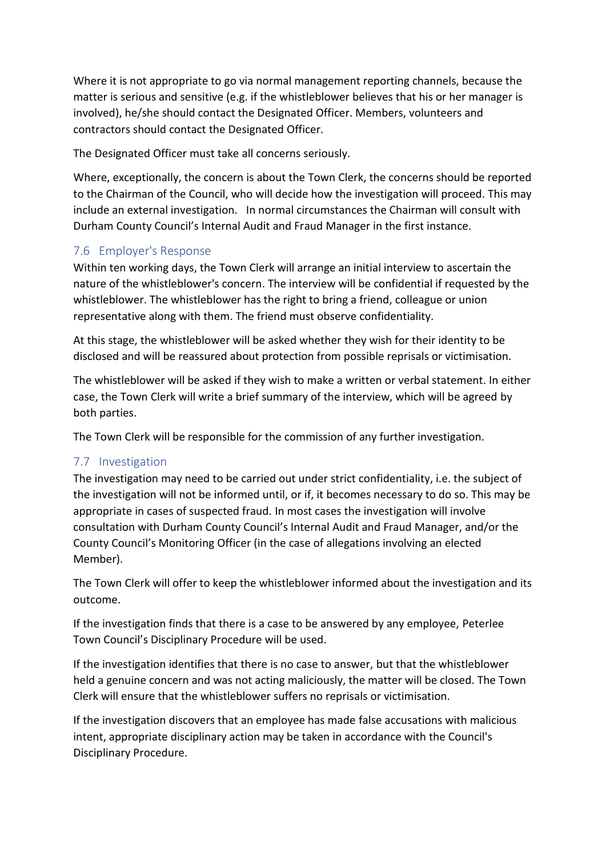Where it is not appropriate to go via normal management reporting channels, because the matter is serious and sensitive (e.g. if the whistleblower believes that his or her manager is involved), he/she should contact the Designated Officer. Members, volunteers and contractors should contact the Designated Officer.

The Designated Officer must take all concerns seriously.

Where, exceptionally, the concern is about the Town Clerk, the concerns should be reported to the Chairman of the Council, who will decide how the investigation will proceed. This may include an external investigation. In normal circumstances the Chairman will consult with Durham County Council's Internal Audit and Fraud Manager in the first instance.

## <span id="page-6-0"></span>7.6 Employer's Response

Within ten working days, the Town Clerk will arrange an initial interview to ascertain the nature of the whistleblower's concern. The interview will be confidential if requested by the whistleblower. The whistleblower has the right to bring a friend, colleague or union representative along with them. The friend must observe confidentiality.

At this stage, the whistleblower will be asked whether they wish for their identity to be disclosed and will be reassured about protection from possible reprisals or victimisation.

The whistleblower will be asked if they wish to make a written or verbal statement. In either case, the Town Clerk will write a brief summary of the interview, which will be agreed by both parties.

The Town Clerk will be responsible for the commission of any further investigation.

## <span id="page-6-1"></span>7.7 Investigation

The investigation may need to be carried out under strict confidentiality, i.e. the subject of the investigation will not be informed until, or if, it becomes necessary to do so. This may be appropriate in cases of suspected fraud. In most cases the investigation will involve consultation with Durham County Council's Internal Audit and Fraud Manager, and/or the County Council's Monitoring Officer (in the case of allegations involving an elected Member).

The Town Clerk will offer to keep the whistleblower informed about the investigation and its outcome.

If the investigation finds that there is a case to be answered by any employee, Peterlee Town Council's Disciplinary Procedure will be used.

If the investigation identifies that there is no case to answer, but that the whistleblower held a genuine concern and was not acting maliciously, the matter will be closed. The Town Clerk will ensure that the whistleblower suffers no reprisals or victimisation.

If the investigation discovers that an employee has made false accusations with malicious intent, appropriate disciplinary action may be taken in accordance with the Council's Disciplinary Procedure.